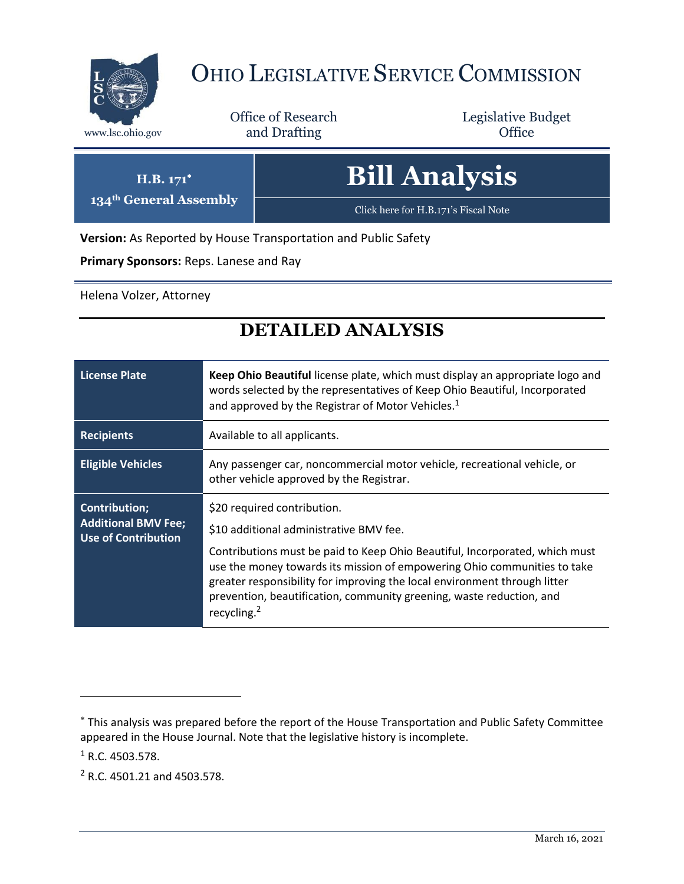

**134th General Assembly**

## OHIO LEGISLATIVE SERVICE COMMISSION

Office of Research www.lsc.ohio.gov **and Drafting Office** 

Legislative Budget

| $H.B. 171^*$                   | <b>Bill Analysis</b>                 |
|--------------------------------|--------------------------------------|
| <sup>th</sup> General Assembly | Click here for H.B.171's Fiscal Note |

**Version:** As Reported by House Transportation and Public Safety

**Primary Sponsors:** Reps. Lanese and Ray

Helena Volzer, Attorney

## **DETAILED ANALYSIS**

| <b>License Plate</b>                                                             | Keep Ohio Beautiful license plate, which must display an appropriate logo and<br>words selected by the representatives of Keep Ohio Beautiful, Incorporated<br>and approved by the Registrar of Motor Vehicles. <sup>1</sup>                                                                                                                                                                                      |
|----------------------------------------------------------------------------------|-------------------------------------------------------------------------------------------------------------------------------------------------------------------------------------------------------------------------------------------------------------------------------------------------------------------------------------------------------------------------------------------------------------------|
| <b>Recipients</b>                                                                | Available to all applicants.                                                                                                                                                                                                                                                                                                                                                                                      |
| <b>Eligible Vehicles</b>                                                         | Any passenger car, noncommercial motor vehicle, recreational vehicle, or<br>other vehicle approved by the Registrar.                                                                                                                                                                                                                                                                                              |
| <b>Contribution;</b><br><b>Additional BMV Fee;</b><br><b>Use of Contribution</b> | \$20 required contribution.<br>\$10 additional administrative BMV fee.<br>Contributions must be paid to Keep Ohio Beautiful, Incorporated, which must<br>use the money towards its mission of empowering Ohio communities to take<br>greater responsibility for improving the local environment through litter<br>prevention, beautification, community greening, waste reduction, and<br>recycling. <sup>2</sup> |

 $1$  R.C. 4503.578.

 $\overline{a}$ 

<sup>2</sup> R.C. 4501.21 and 4503.578.

This analysis was prepared before the report of the House Transportation and Public Safety Committee appeared in the House Journal. Note that the legislative history is incomplete.